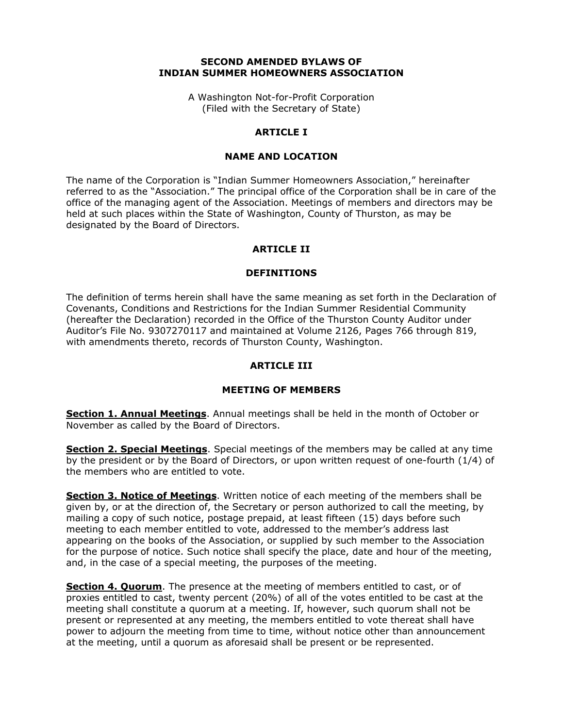#### **SECOND AMENDED BYLAWS OF INDIAN SUMMER HOMEOWNERS ASSOCIATION**

A Washington Not-for-Profit Corporation (Filed with the Secretary of State)

#### **ARTICLE I**

#### **NAME AND LOCATION**

The name of the Corporation is "Indian Summer Homeowners Association," hereinafter referred to as the "Association." The principal office of the Corporation shall be in care of the office of the managing agent of the Association. Meetings of members and directors may be held at such places within the State of Washington, County of Thurston, as may be designated by the Board of Directors.

### **ARTICLE II**

#### **DEFINITIONS**

The definition of terms herein shall have the same meaning as set forth in the Declaration of Covenants, Conditions and Restrictions for the Indian Summer Residential Community (hereafter the Declaration) recorded in the Office of the Thurston County Auditor under Auditor's File No. 9307270117 and maintained at Volume 2126, Pages 766 through 819, with amendments thereto, records of Thurston County, Washington.

### **ARTICLE III**

### **MEETING OF MEMBERS**

**Section 1. Annual Meetings**. Annual meetings shall be held in the month of October or November as called by the Board of Directors.

**Section 2. Special Meetings**. Special meetings of the members may be called at any time by the president or by the Board of Directors, or upon written request of one-fourth (1/4) of the members who are entitled to vote.

**Section 3. Notice of Meetings**. Written notice of each meeting of the members shall be given by, or at the direction of, the Secretary or person authorized to call the meeting, by mailing a copy of such notice, postage prepaid, at least fifteen (15) days before such meeting to each member entitled to vote, addressed to the member's address last appearing on the books of the Association, or supplied by such member to the Association for the purpose of notice. Such notice shall specify the place, date and hour of the meeting, and, in the case of a special meeting, the purposes of the meeting.

**Section 4. Quorum**. The presence at the meeting of members entitled to cast, or of proxies entitled to cast, twenty percent (20%) of all of the votes entitled to be cast at the meeting shall constitute a quorum at a meeting. If, however, such quorum shall not be present or represented at any meeting, the members entitled to vote thereat shall have power to adjourn the meeting from time to time, without notice other than announcement at the meeting, until a quorum as aforesaid shall be present or be represented.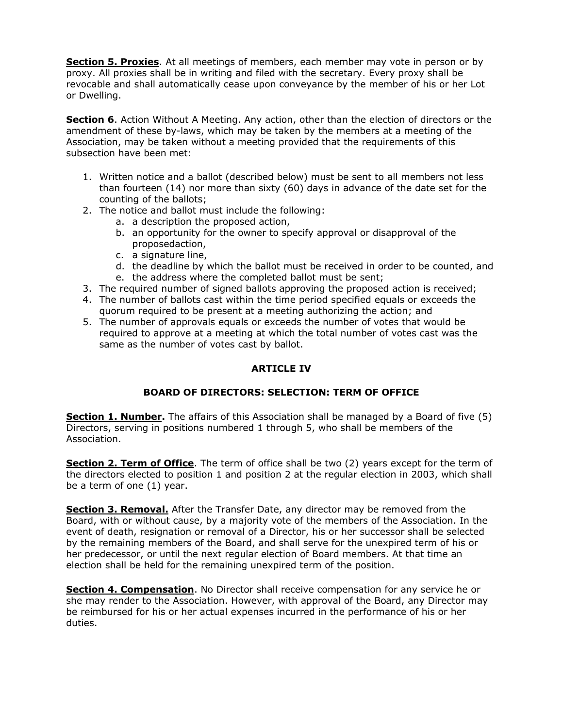**Section 5. Proxies**. At all meetings of members, each member may vote in person or by proxy. All proxies shall be in writing and filed with the secretary. Every proxy shall be revocable and shall automatically cease upon conveyance by the member of his or her Lot or Dwelling.

**Section 6**. Action Without A Meeting. Any action, other than the election of directors or the amendment of these by-laws, which may be taken by the members at a meeting of the Association, may be taken without a meeting provided that the requirements of this subsection have been met:

- 1. Written notice and a ballot (described below) must be sent to all members not less than fourteen (14) nor more than sixty (60) days in advance of the date set for the counting of the ballots;
- 2. The notice and ballot must include the following:
	- a. a description the proposed action,
	- b. an opportunity for the owner to specify approval or disapproval of the proposedaction,
	- c. a signature line,
	- d. the deadline by which the ballot must be received in order to be counted, and
	- e. the address where the completed ballot must be sent;
- 3. The required number of signed ballots approving the proposed action is received;
- 4. The number of ballots cast within the time period specified equals or exceeds the quorum required to be present at a meeting authorizing the action; and
- 5. The number of approvals equals or exceeds the number of votes that would be required to approve at a meeting at which the total number of votes cast was the same as the number of votes cast by ballot.

# **ARTICLE IV**

# **BOARD OF DIRECTORS: SELECTION: TERM OF OFFICE**

**Section 1. Number.** The affairs of this Association shall be managed by a Board of five (5) Directors, serving in positions numbered 1 through 5, who shall be members of the Association.

**Section 2. Term of Office**. The term of office shall be two (2) years except for the term of the directors elected to position 1 and position 2 at the regular election in 2003, which shall be a term of one (1) year.

**Section 3. Removal.** After the Transfer Date, any director may be removed from the Board, with or without cause, by a majority vote of the members of the Association. In the event of death, resignation or removal of a Director, his or her successor shall be selected by the remaining members of the Board, and shall serve for the unexpired term of his or her predecessor, or until the next regular election of Board members. At that time an election shall be held for the remaining unexpired term of the position.

**Section 4. Compensation**. No Director shall receive compensation for any service he or she may render to the Association. However, with approval of the Board, any Director may be reimbursed for his or her actual expenses incurred in the performance of his or her duties.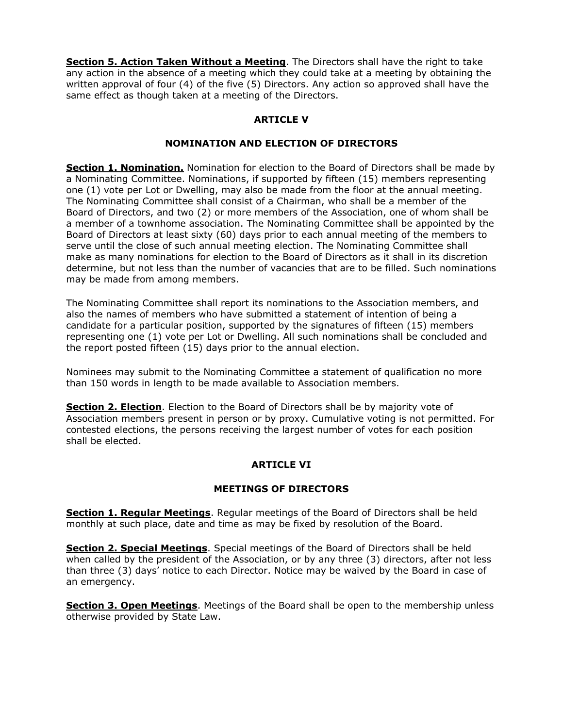**Section 5. Action Taken Without a Meeting**. The Directors shall have the right to take any action in the absence of a meeting which they could take at a meeting by obtaining the written approval of four (4) of the five (5) Directors. Any action so approved shall have the same effect as though taken at a meeting of the Directors.

# **ARTICLE V**

### **NOMINATION AND ELECTION OF DIRECTORS**

**Section 1. Nomination.** Nomination for election to the Board of Directors shall be made by a Nominating Committee. Nominations, if supported by fifteen (15) members representing one (1) vote per Lot or Dwelling, may also be made from the floor at the annual meeting. The Nominating Committee shall consist of a Chairman, who shall be a member of the Board of Directors, and two (2) or more members of the Association, one of whom shall be a member of a townhome association. The Nominating Committee shall be appointed by the Board of Directors at least sixty (60) days prior to each annual meeting of the members to serve until the close of such annual meeting election. The Nominating Committee shall make as many nominations for election to the Board of Directors as it shall in its discretion determine, but not less than the number of vacancies that are to be filled. Such nominations may be made from among members.

The Nominating Committee shall report its nominations to the Association members, and also the names of members who have submitted a statement of intention of being a candidate for a particular position, supported by the signatures of fifteen (15) members representing one (1) vote per Lot or Dwelling. All such nominations shall be concluded and the report posted fifteen (15) days prior to the annual election.

Nominees may submit to the Nominating Committee a statement of qualification no more than 150 words in length to be made available to Association members.

**Section 2. Election**. Election to the Board of Directors shall be by majority vote of Association members present in person or by proxy. Cumulative voting is not permitted. For contested elections, the persons receiving the largest number of votes for each position shall be elected.

# **ARTICLE VI**

### **MEETINGS OF DIRECTORS**

**Section 1. Regular Meetings**. Regular meetings of the Board of Directors shall be held monthly at such place, date and time as may be fixed by resolution of the Board.

**Section 2. Special Meetings**. Special meetings of the Board of Directors shall be held when called by the president of the Association, or by any three (3) directors, after not less than three (3) days' notice to each Director. Notice may be waived by the Board in case of an emergency.

**Section 3. Open Meetings**. Meetings of the Board shall be open to the membership unless otherwise provided by State Law.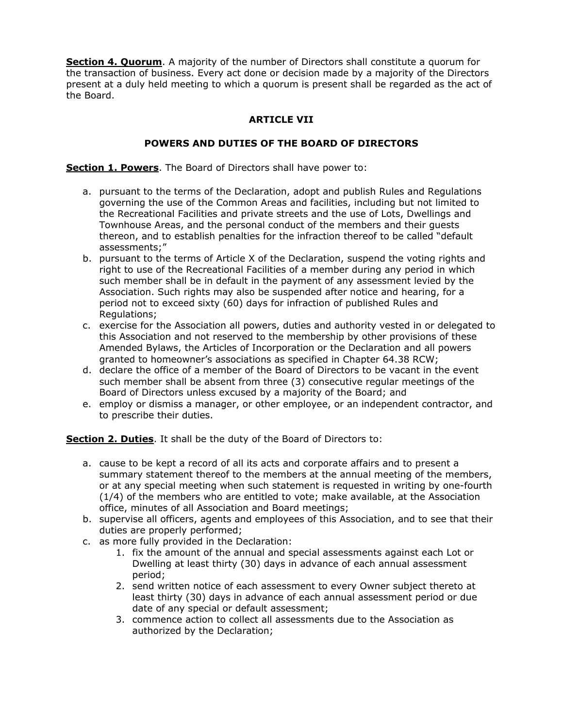**Section 4. Quorum**. A majority of the number of Directors shall constitute a quorum for the transaction of business. Every act done or decision made by a majority of the Directors present at a duly held meeting to which a quorum is present shall be regarded as the act of the Board.

# **ARTICLE VII**

### **POWERS AND DUTIES OF THE BOARD OF DIRECTORS**

**Section 1. Powers**. The Board of Directors shall have power to:

- a. pursuant to the terms of the Declaration, adopt and publish Rules and Regulations governing the use of the Common Areas and facilities, including but not limited to the Recreational Facilities and private streets and the use of Lots, Dwellings and Townhouse Areas, and the personal conduct of the members and their guests thereon, and to establish penalties for the infraction thereof to be called "default assessments;"
- b. pursuant to the terms of Article X of the Declaration, suspend the voting rights and right to use of the Recreational Facilities of a member during any period in which such member shall be in default in the payment of any assessment levied by the Association. Such rights may also be suspended after notice and hearing, for a period not to exceed sixty (60) days for infraction of published Rules and Regulations;
- c. exercise for the Association all powers, duties and authority vested in or delegated to this Association and not reserved to the membership by other provisions of these Amended Bylaws, the Articles of Incorporation or the Declaration and all powers granted to homeowner's associations as specified in Chapter 64.38 RCW;
- d. declare the office of a member of the Board of Directors to be vacant in the event such member shall be absent from three (3) consecutive regular meetings of the Board of Directors unless excused by a majority of the Board; and
- e. employ or dismiss a manager, or other employee, or an independent contractor, and to prescribe their duties.

**Section 2. Duties**. It shall be the duty of the Board of Directors to:

- a. cause to be kept a record of all its acts and corporate affairs and to present a summary statement thereof to the members at the annual meeting of the members, or at any special meeting when such statement is requested in writing by one-fourth (1/4) of the members who are entitled to vote; make available, at the Association office, minutes of all Association and Board meetings;
- b. supervise all officers, agents and employees of this Association, and to see that their duties are properly performed;
- c. as more fully provided in the Declaration:
	- 1. fix the amount of the annual and special assessments against each Lot or Dwelling at least thirty (30) days in advance of each annual assessment period;
	- 2. send written notice of each assessment to every Owner subject thereto at least thirty (30) days in advance of each annual assessment period or due date of any special or default assessment;
	- 3. commence action to collect all assessments due to the Association as authorized by the Declaration;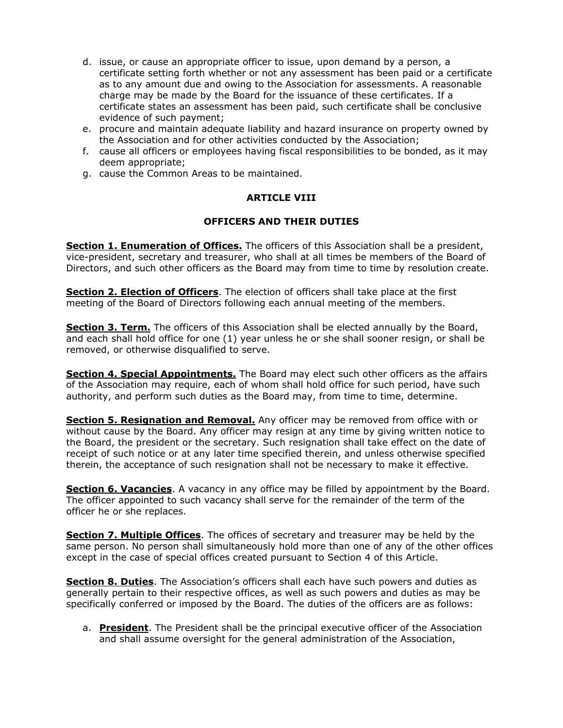- d. issue, or cause an appropriate officer to issue, upon demand by a person, a certificate setting forth whether or not any assessment has been paid or a certificate as to any amount due and owing to the Association for assessments. A reasonable charge may be made by the Board for the issuance of these certificates. If a certificate states an assessment has been paid, such certificate shall be conclusive evidence of such payment;
- e. procure and maintain adequate liability and hazard insurance on property owned by the Association and for other activities conducted by the Association;
- f. cause all officers or employees having fiscal responsibilities to be bonded, as it may deem appropriate;
- g. cause the Common Areas to be maintained.

### **ARTICLE VIII**

### **OFFICERS AND THEIR DUTIES**

**Section 1. Enumeration of Offices.** The officers of this Association shall be a president, vice-president, secretary and treasurer, who shall at all times be members of the Board of Directors, and such other officers as the Board may from time to time by resolution create.

**Section 2. Election of Officers**. The election of officers shall take place at the first meeting of the Board of Directors following each annual meeting of the members.

**Section 3. Term.** The officers of this Association shall be elected annually by the Board, and each shall hold office for one (1) year unless he or she shall sooner resign, or shall be removed, or otherwise disqualified to serve.

**Section 4. Special Appointments.** The Board may elect such other officers as the affairs of the Association may require, each of whom shall hold office for such period, have such authority, and perform such duties as the Board may, from time to time, determine.

**Section 5. Resignation and Removal.** Any officer may be removed from office with or without cause by the Board. Any officer may resign at any time by giving written notice to the Board, the president or the secretary. Such resignation shall take effect on the date of receipt of such notice or at any later time specified therein, and unless otherwise specified therein, the acceptance of such resignation shall not be necessary to make it effective.

**Section 6. Vacancies**. A vacancy in any office may be filled by appointment by the Board. The officer appointed to such vacancy shall serve for the remainder of the term of the officer he or she replaces.

**Section 7. Multiple Offices**. The offices of secretary and treasurer may be held by the same person. No person shall simultaneously hold more than one of any of the other offices except in the case of special offices created pursuant to Section 4 of this Article.

**Section 8. Duties**. The Association's officers shall each have such powers and duties as generally pertain to their respective offices, as well as such powers and duties as may be specifically conferred or imposed by the Board. The duties of the officers are as follows:

a. **President**. The President shall be the principal executive officer of the Association and shall assume oversight for the general administration of the Association,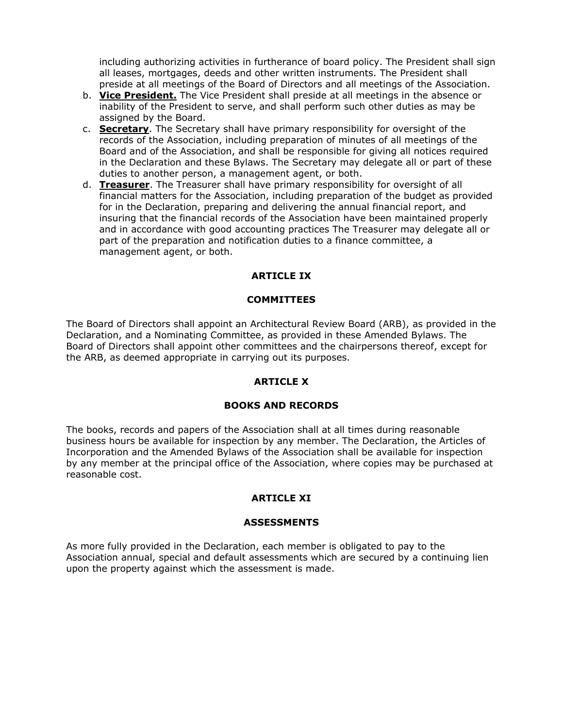including authorizing activities in furtherance of board policy. The President shall sign all leases, mortgages, deeds and other written instruments. The President shall preside at all meetings of the Board of Directors and all meetings of the Association.

- b. **Vice President.** The Vice President shall preside at all meetings in the absence or inability of the President to serve, and shall perform such other duties as may be assigned by the Board.
- c. **Secretary**. The Secretary shall have primary responsibility for oversight of the records of the Association, including preparation of minutes of all meetings of the Board and of the Association, and shall be responsible for giving all notices required in the Declaration and these Bylaws. The Secretary may delegate all or part of these duties to another person, a management agent, or both.
- d. **Treasurer**. The Treasurer shall have primary responsibility for oversight of all financial matters for the Association, including preparation of the budget as provided for in the Declaration, preparing and delivering the annual financial report, and insuring that the financial records of the Association have been maintained properly and in accordance with good accounting practices The Treasurer may delegate all or part of the preparation and notification duties to a finance committee, a management agent, or both.

# **ARTICLE IX**

### **COMMITTEES**

The Board of Directors shall appoint an Architectural Review Board (ARB), as provided in the Declaration, and a Nominating Committee, as provided in these Amended Bylaws. The Board of Directors shall appoint other committees and the chairpersons thereof, except for the ARB, as deemed appropriate in carrying out its purposes.

### **ARTICLE X**

### **BOOKS AND RECORDS**

The books, records and papers of the Association shall at all times during reasonable business hours be available for inspection by any member. The Declaration, the Articles of Incorporation and the Amended Bylaws of the Association shall be available for inspection by any member at the principal office of the Association, where copies may be purchased at reasonable cost.

### **ARTICLE XI**

#### **ASSESSMENTS**

As more fully provided in the Declaration, each member is obligated to pay to the Association annual, special and default assessments which are secured by a continuing lien upon the property against which the assessment is made.